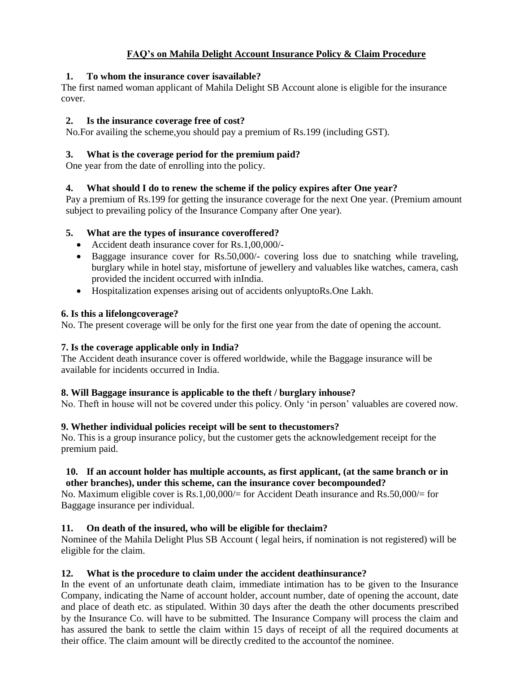# **FAQ's on Mahila Delight Account Insurance Policy & Claim Procedure**

## **1. To whom the insurance cover isavailable?**

The first named woman applicant of Mahila Delight SB Account alone is eligible for the insurance cover.

## **2. Is the insurance coverage free of cost?**

No.For availing the scheme,you should pay a premium of Rs.199 (including GST).

# **3. What is the coverage period for the premium paid?**

One year from the date of enrolling into the policy.

## **4. What should I do to renew the scheme if the policy expires after One year?**

Pay a premium of Rs.199 for getting the insurance coverage for the next One year. (Premium amount subject to prevailing policy of the Insurance Company after One year).

## **5. What are the types of insurance coveroffered?**

- Accident death insurance cover for Rs.1,00,000/-
- Baggage insurance cover for Rs.50,000/- covering loss due to snatching while traveling, burglary while in hotel stay, misfortune of jewellery and valuables like watches, camera, cash provided the incident occurred with inIndia.
- Hospitalization expenses arising out of accidents onlyuptoRs.One Lakh.

## **6. Is this a lifelongcoverage?**

No. The present coverage will be only for the first one year from the date of opening the account.

# **7. Is the coverage applicable only in India?**

The Accident death insurance cover is offered worldwide, while the Baggage insurance will be available for incidents occurred in India.

## **8. Will Baggage insurance is applicable to the theft / burglary inhouse?**

No. Theft in house will not be covered under this policy. Only 'in person' valuables are covered now.

## **9. Whether individual policies receipt will be sent to thecustomers?**

No. This is a group insurance policy, but the customer gets the acknowledgement receipt for the premium paid.

## **10. If an account holder has multiple accounts, as first applicant, (at the same branch or in other branches), under this scheme, can the insurance cover becompounded?**

No. Maximum eligible cover is Rs.1,00,000/= for Accident Death insurance and Rs.50,000/= for Baggage insurance per individual.

# **11. On death of the insured, who will be eligible for theclaim?**

Nominee of the Mahila Delight Plus SB Account ( legal heirs, if nomination is not registered) will be eligible for the claim.

# **12. What is the procedure to claim under the accident deathinsurance?**

In the event of an unfortunate death claim, immediate intimation has to be given to the Insurance Company, indicating the Name of account holder, account number, date of opening the account, date and place of death etc. as stipulated. Within 30 days after the death the other documents prescribed by the Insurance Co. will have to be submitted. The Insurance Company will process the claim and has assured the bank to settle the claim within 15 days of receipt of all the required documents at their office. The claim amount will be directly credited to the accountof the nominee.